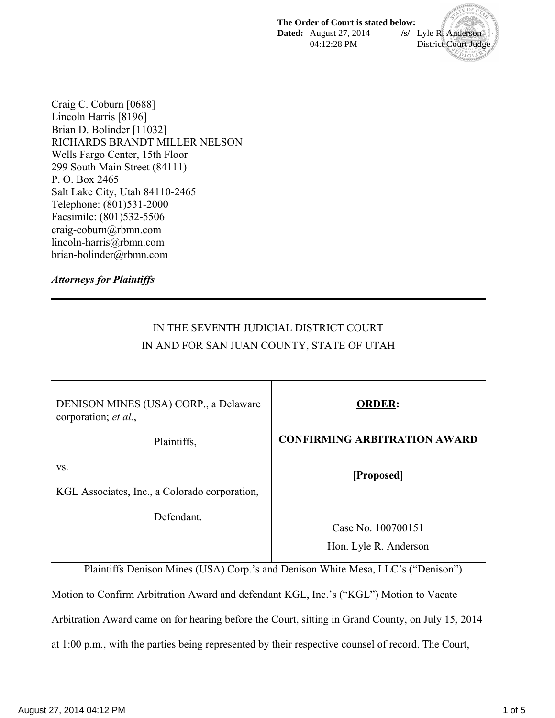**The Order of Court is stated below: Dated:** August 27, 2014 **/s/** Lyle R. Anderson 04:12:28 PM District Court Judge

 $D_{\rm ICI}$ 

Craig C. Coburn [0688] Lincoln Harris [8196] Brian D. Bolinder [11032] RICHARDS BRANDT MILLER NELSON Wells Fargo Center, 15th Floor 299 South Main Street (84111) P. O. Box 2465 Salt Lake City, Utah 84110-2465 Telephone: (801)531-2000 Facsimile: (801)532-5506 craig-coburn@rbmn.com lincoln-harris@rbmn.com brian-bolinder@rbmn.com

*Attorneys for Plaintiffs* 

# IN THE SEVENTH JUDICIAL DISTRICT COURT IN AND FOR SAN JUAN COUNTY, STATE OF UTAH

| DENISON MINES (USA) CORP., a Delaware<br>corporation; et al., | <b>ORDER:</b>                               |
|---------------------------------------------------------------|---------------------------------------------|
| Plaintiffs,                                                   | <b>CONFIRMING ARBITRATION AWARD</b>         |
| VS.<br>KGL Associates, Inc., a Colorado corporation,          | [Proposed]                                  |
| Defendant.                                                    | Case No. 100700151<br>Hon. Lyle R. Anderson |

Plaintiffs Denison Mines (USA) Corp.'s and Denison White Mesa, LLC's ("Denison")

Motion to Confirm Arbitration Award and defendant KGL, Inc.'s ("KGL") Motion to Vacate

Arbitration Award came on for hearing before the Court, sitting in Grand County, on July 15, 2014

at 1:00 p.m., with the parties being represented by their respective counsel of record. The Court,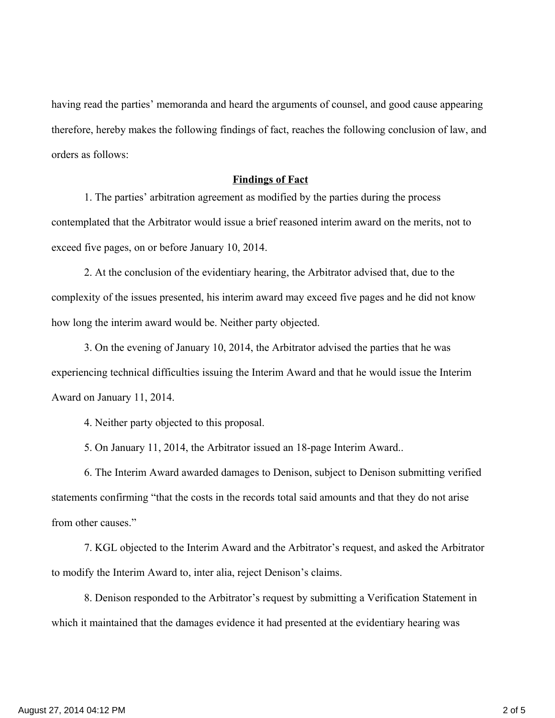having read the parties' memoranda and heard the arguments of counsel, and good cause appearing therefore, hereby makes the following findings of fact, reaches the following conclusion of law, and orders as follows:

#### **Findings of Fact**

1. The parties' arbitration agreement as modified by the parties during the process contemplated that the Arbitrator would issue a brief reasoned interim award on the merits, not to exceed five pages, on or before January 10, 2014.

2. At the conclusion of the evidentiary hearing, the Arbitrator advised that, due to the complexity of the issues presented, his interim award may exceed five pages and he did not know how long the interim award would be. Neither party objected.

3. On the evening of January 10, 2014, the Arbitrator advised the parties that he was experiencing technical difficulties issuing the Interim Award and that he would issue the Interim Award on January 11, 2014.

4. Neither party objected to this proposal.

5. On January 11, 2014, the Arbitrator issued an 18-page Interim Award..

6. The Interim Award awarded damages to Denison, subject to Denison submitting verified statements confirming "that the costs in the records total said amounts and that they do not arise from other causes."

7. KGL objected to the Interim Award and the Arbitrator's request, and asked the Arbitrator to modify the Interim Award to, inter alia, reject Denison's claims.

8. Denison responded to the Arbitrator's request by submitting a Verification Statement in which it maintained that the damages evidence it had presented at the evidentiary hearing was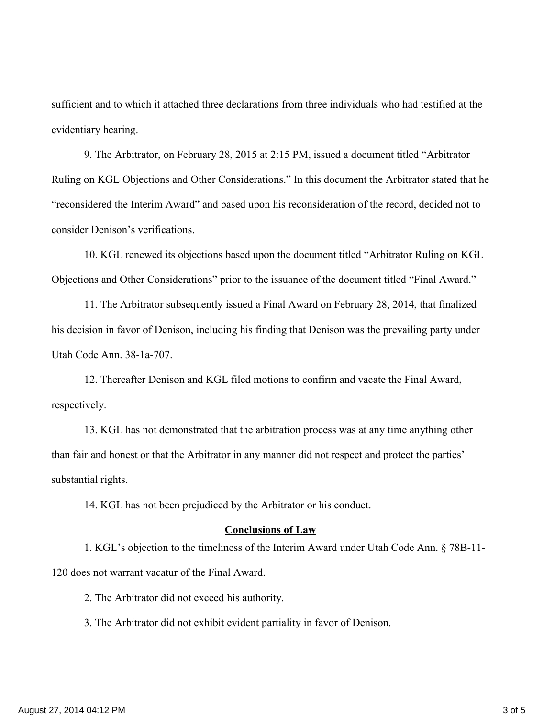sufficient and to which it attached three declarations from three individuals who had testified at the evidentiary hearing.

9. The Arbitrator, on February 28, 2015 at 2:15 PM, issued a document titled "Arbitrator Ruling on KGL Objections and Other Considerations." In this document the Arbitrator stated that he "reconsidered the Interim Award" and based upon his reconsideration of the record, decided not to consider Denison's verifications.

10. KGL renewed its objections based upon the document titled "Arbitrator Ruling on KGL Objections and Other Considerations" prior to the issuance of the document titled "Final Award."

11. The Arbitrator subsequently issued a Final Award on February 28, 2014, that finalized his decision in favor of Denison, including his finding that Denison was the prevailing party under Utah Code Ann. 38-1a-707.

12. Thereafter Denison and KGL filed motions to confirm and vacate the Final Award, respectively.

13. KGL has not demonstrated that the arbitration process was at any time anything other than fair and honest or that the Arbitrator in any manner did not respect and protect the parties' substantial rights.

14. KGL has not been prejudiced by the Arbitrator or his conduct.

#### **Conclusions of Law**

1. KGL's objection to the timeliness of the Interim Award under Utah Code Ann. § 78B-11- 120 does not warrant vacatur of the Final Award.

2. The Arbitrator did not exceed his authority.

3. The Arbitrator did not exhibit evident partiality in favor of Denison.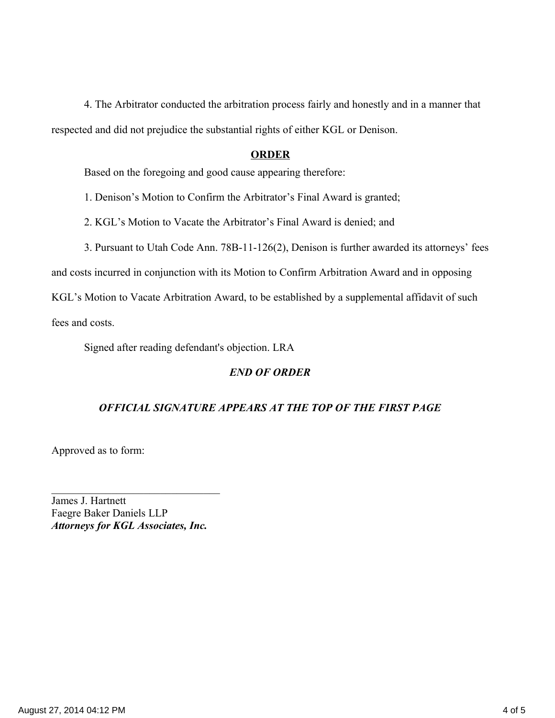4. The Arbitrator conducted the arbitration process fairly and honestly and in a manner that respected and did not prejudice the substantial rights of either KGL or Denison.

#### **ORDER**

Based on the foregoing and good cause appearing therefore:

1. Denison's Motion to Confirm the Arbitrator's Final Award is granted;

2. KGL's Motion to Vacate the Arbitrator's Final Award is denied; and

3. Pursuant to Utah Code Ann. 78B-11-126(2), Denison is further awarded its attorneys' fees

and costs incurred in conjunction with its Motion to Confirm Arbitration Award and in opposing

KGL's Motion to Vacate Arbitration Award, to be established by a supplemental affidavit of such

fees and costs.

Signed after reading defendant's objection. LRA

### *END OF ORDER*

#### *OFFICIAL SIGNATURE APPEARS AT THE TOP OF THE FIRST PAGE*

Approved as to form:

James J. Hartnett Faegre Baker Daniels LLP *Attorneys for KGL Associates, Inc.*

 $\mathcal{L}_\text{max}$  , where  $\mathcal{L}_\text{max}$  and  $\mathcal{L}_\text{max}$  and  $\mathcal{L}_\text{max}$